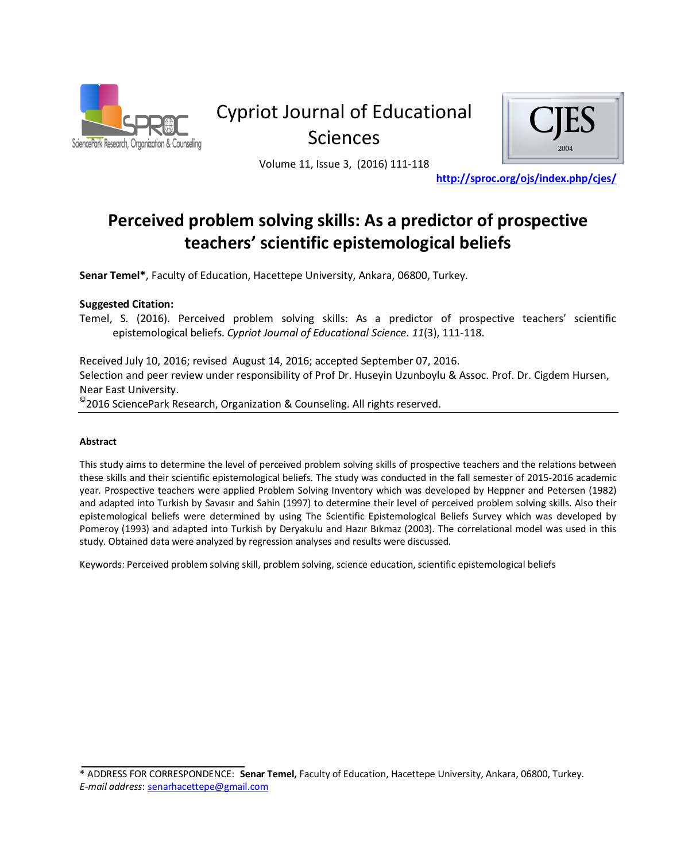

# Cypriot Journal of Educational **Sciences**



Volume 11, Issue 3, (2016) 111-118

http://sproc.org/ojs/index.php/cjes/

# Perceived problem solving skills: As a predictor of prospective teachers' scientific epistemological beliefs

**Senar Temel\***, Faculty of Education, Hacettepe University, Ankara, 06800, Turkey.

### **Suggested Citation:**

Temel, S. (2016). Perceived problem solving skills: As a predictor of prospective teachers' scientific  $k$ epistemological beliefs. Cypriot Journal of Educational Science. 11(3), 111-118.

Received July 10, 2016; revised August 14, 2016; accepted September 07, 2016. Selection and peer review under responsibility of Prof Dr. Huseyin Uzunboylu & Assoc. Prof. Dr. Cigdem Hursen, Near East University.

 $^\circ$ 2016 SciencePark Research, Organization & Counseling. All rights reserved.

#### Abstract

This study aims to determine the level of perceived problem solving skills of prospective teachers and the relations between these skills and their scientific epistemological beliefs. The study was conducted in the fall semester of 2015-2016 academic year. Prospective teachers were applied Problem Solving Inventory which was developed by Heppner and Petersen (1982) and adapted into Turkish by Savasır and Sahin (1997) to determine their level of perceived problem solving skills. Also their epistemological beliefs were determined by using The Scientific Epistemological Beliefs Survey which was developed by Pomeroy (1993) and adapted into Turkish by Deryakulu and Hazır Bıkmaz (2003). The correlational model was used in this study. Obtained data were analyzed by regression analyses and results were discussed.

Keywords: Perceived problem solving skill, problem solving, science education, scientific epistemological beliefs

<sup>\*</sup> ADDRESS FOR CORRESPONDENCE: Senar Temel, Faculty of Education, Hacettepe University, Ankara, 06800, Turkey.  $E$ -mail address: senarhacettepe@gmail.com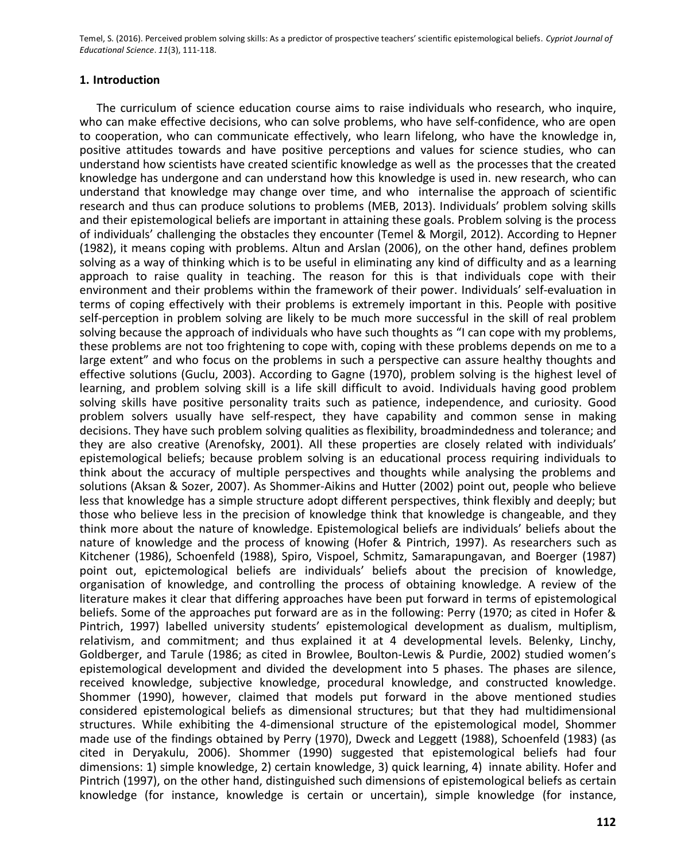#### 1. Introduction

The curriculum of science education course aims to raise individuals who research, who inquire, who can make effective decisions, who can solve problems, who have self-confidence, who are open to cooperation, who can communicate effectively, who learn lifelong, who have the knowledge in, positive attitudes towards and have positive perceptions and values for science studies, who can understand how scientists have created scientific knowledge as well as the processes that the created knowledge has undergone and can understand how this knowledge is used in. new research, who can understand that knowledge may change over time, and who internalise the approach of scientific research and thus can produce solutions to problems (MEB, 2013). Individuals' problem solving skills and their epistemological beliefs are important in attaining these goals. Problem solving is the process of individuals' challenging the obstacles they encounter (Temel & Morgil, 2012). According to Hepner (1982), it means coping with problems. Altun and Arslan (2006), on the other hand, defines problem solving as a way of thinking which is to be useful in eliminating any kind of difficulty and as a learning approach to raise quality in teaching. The reason for this is that individuals cope with their environment and their problems within the framework of their power. Individuals' self-evaluation in terms of coping effectively with their problems is extremely important in this. People with positive self-perception in problem solving are likely to be much more successful in the skill of real problem solving because the approach of individuals who have such thoughts as "I can cope with my problems, these problems are not too frightening to cope with, coping with these problems depends on me to a large extent" and who focus on the problems in such a perspective can assure healthy thoughts and effective solutions (Guclu, 2003). According to Gagne (1970), problem solving is the highest level of learning, and problem solving skill is a life skill difficult to avoid. Individuals having good problem solving skills have positive personality traits such as patience, independence, and curiosity. Good problem solvers usually have self-respect, they have capability and common sense in making decisions. They have such problem solving qualities as flexibility, broadmindedness and tolerance; and they are also creative (Arenofsky, 2001). All these properties are closely related with individuals' epistemological beliefs; because problem solving is an educational process requiring individuals to think about the accuracy of multiple perspectives and thoughts while analysing the problems and solutions (Aksan & Sozer, 2007). As Shommer-Aikins and Hutter (2002) point out, people who believe less that knowledge has a simple structure adopt different perspectives, think flexibly and deeply; but those who believe less in the precision of knowledge think that knowledge is changeable, and they think more about the nature of knowledge. Epistemological beliefs are individuals' beliefs about the nature of knowledge and the process of knowing (Hofer & Pintrich, 1997). As researchers such as Kitchener (1986), Schoenfeld (1988), Spiro, Vispoel, Schmitz, Samarapungavan, and Boerger (1987) point out, epictemological beliefs are individuals' beliefs about the precision of knowledge, organisation of knowledge, and controlling the process of obtaining knowledge. A review of the literature makes it clear that differing approaches have been put forward in terms of epistemological beliefs. Some of the approaches put forward are as in the following: Perry (1970; as cited in Hofer & Pintrich, 1997) labelled university students' epistemological development as dualism, multiplism, relativism, and commitment; and thus explained it at 4 developmental levels. Belenky, Linchy, Goldberger, and Tarule (1986; as cited in Browlee, Boulton-Lewis & Purdie, 2002) studied women's epistemological development and divided the development into 5 phases. The phases are silence, received knowledge, subjective knowledge, procedural knowledge, and constructed knowledge. Shommer (1990), however, claimed that models put forward in the above mentioned studies considered epistemological beliefs as dimensional structures; but that they had multidimensional structures. While exhibiting the 4-dimensional structure of the epistemological model, Shommer made use of the findings obtained by Perry (1970), Dweck and Leggett (1988), Schoenfeld (1983) (as cited in Deryakulu, 2006). Shommer (1990) suggested that epistemological beliefs had four dimensions: 1) simple knowledge, 2) certain knowledge, 3) quick learning, 4) innate ability. Hofer and Pintrich (1997), on the other hand, distinguished such dimensions of epistemological beliefs as certain knowledge (for instance, knowledge is certain or uncertain), simple knowledge (for instance,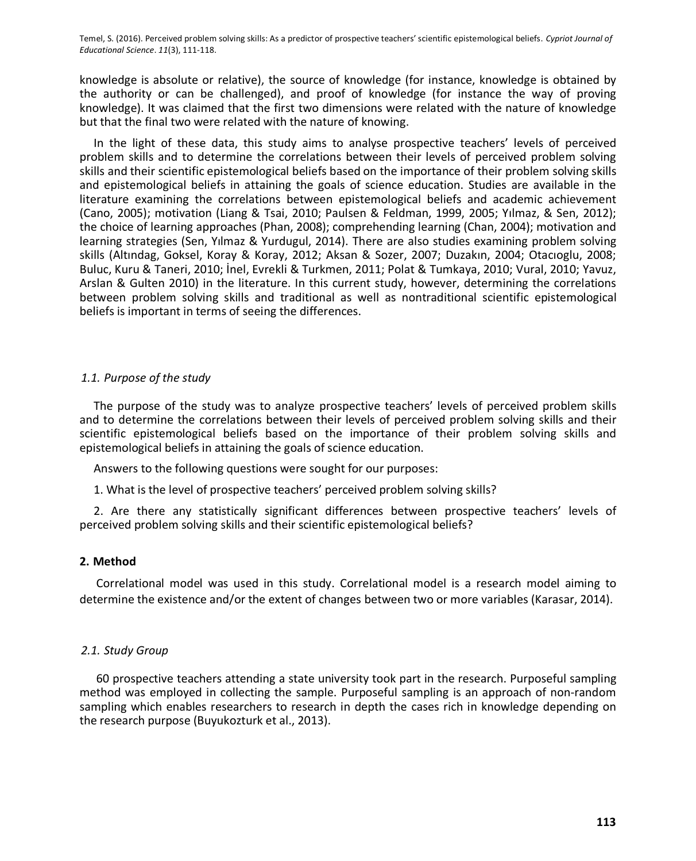knowledge is absolute or relative), the source of knowledge (for instance, knowledge is obtained by the authority or can be challenged), and proof of knowledge (for instance the way of proving knowledge). It was claimed that the first two dimensions were related with the nature of knowledge but that the final two were related with the nature of knowing.

In the light of these data, this study aims to analyse prospective teachers' levels of perceived problem skills and to determine the correlations between their levels of perceived problem solving skills and their scientific epistemological beliefs based on the importance of their problem solving skills and epistemological beliefs in attaining the goals of science education. Studies are available in the literature examining the correlations between epistemological beliefs and academic achievement (Cano, 2005); motivation (Liang & Tsai, 2010; Paulsen & Feldman, 1999, 2005; Yılmaz, & Sen, 2012); the choice of learning approaches (Phan, 2008); comprehending learning (Chan, 2004); motivation and learning strategies (Sen, Yılmaz & Yurdugul, 2014). There are also studies examining problem solving skills (Altındag, Goksel, Koray & Koray, 2012; Aksan & Sozer, 2007; Duzakın, 2004; Otacıoglu, 2008; Buluc, Kuru & Taneri, 2010; İnel, Evrekli & Turkmen, 2011; Polat & Tumkaya, 2010; Vural, 2010; Yavuz, Arslan & Gulten 2010) in the literature. In this current study, however, determining the correlations between problem solving skills and traditional as well as nontraditional scientific epistemological beliefs is important in terms of seeing the differences.

# 1.1. Purpose of the study

The purpose of the study was to analyze prospective teachers' levels of perceived problem skills and to determine the correlations between their levels of perceived problem solving skills and their scientific epistemological beliefs based on the importance of their problem solving skills and epistemological beliefs in attaining the goals of science education.

Answers to the following questions were sought for our purposes:

1. What is the level of prospective teachers' perceived problem solving skills?

2. Are there any statistically significant differences between prospective teachers' levels of perceived problem solving skills and their scientific epistemological beliefs?

# 2. Method

Correlational model was used in this study. Correlational model is a research model aiming to determine the existence and/or the extent of changes between two or more variables (Karasar, 2014).

# 2.1. Study Group

60 prospective teachers attending a state university took part in the research. Purposeful sampling method was employed in collecting the sample. Purposeful sampling is an approach of non-random sampling which enables researchers to research in depth the cases rich in knowledge depending on the research purpose (Buvukozturk et al., 2013).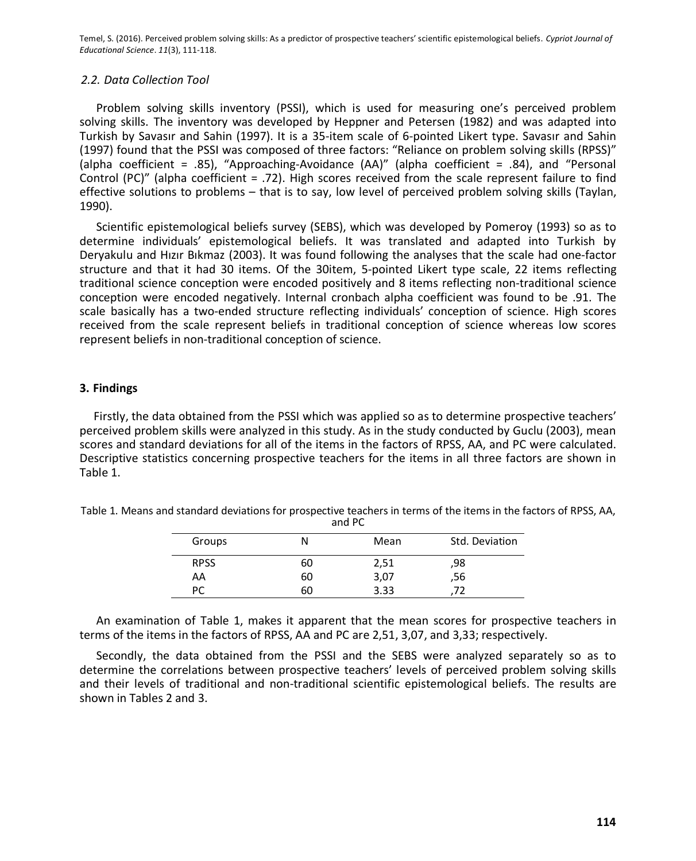#### 2.2. Data Collection Tool

Problem solving skills inventory (PSSI), which is used for measuring one's perceived problem solving skills. The inventory was developed by Heppner and Petersen (1982) and was adapted into Turkish by Savasır and Sahin (1997). It is a 35-item scale of 6-pointed Likert type. Savasır and Sahin (1997) found that the PSSI was composed of three factors: "Reliance on problem solving skills (RPSS)" (alpha coefficient = .85), "Approaching-Avoidance (AA)" (alpha coefficient = .84), and "Personal Control (PC)" (alpha coefficient = .72). High scores received from the scale represent failure to find effective solutions to problems - that is to say, low level of perceived problem solving skills (Taylan, 1990).

Scientific epistemological beliefs survey (SEBS), which was developed by Pomeroy (1993) so as to determine individuals' epistemological beliefs. It was translated and adapted into Turkish by Deryakulu and Hizir Bikmaz (2003). It was found following the analyses that the scale had one-factor structure and that it had 30 items. Of the 30item, 5-pointed Likert type scale, 22 items reflecting traditional science conception were encoded positively and 8 items reflecting non-traditional science conception were encoded negatively. Internal cronbach alpha coefficient was found to be .91. The scale basically has a two-ended structure reflecting individuals' conception of science. High scores received from the scale represent beliefs in traditional conception of science whereas low scores represent beliefs in non-traditional conception of science.

#### 3. Findings

Firstly, the data obtained from the PSSI which was applied so as to determine prospective teachers' perceived problem skills were analyzed in this study. As in the study conducted by Guclu (2003), mean scores and standard deviations for all of the items in the factors of RPSS, AA, and PC were calculated. Descriptive statistics concerning prospective teachers for the items in all three factors are shown in Table 1.

| .           |    |      |                |  |  |  |
|-------------|----|------|----------------|--|--|--|
| Groups      | N  | Mean | Std. Deviation |  |  |  |
| <b>RPSS</b> | 60 | 2,51 | ,98            |  |  |  |
| AA          | 60 | 3,07 | ,56            |  |  |  |
| РC          | 60 | 3.33 |                |  |  |  |

Table 1. Means and standard deviations for prospective teachers in terms of the items in the factors of RPSS, AA, and DC

An examination of Table 1, makes it apparent that the mean scores for prospective teachers in terms of the items in the factors of RPSS, AA and PC are 2,51, 3,07, and 3,33; respectively.

Secondly, the data obtained from the PSSI and the SEBS were analyzed separately so as to determine the correlations between prospective teachers' levels of perceived problem solving skills and their levels of traditional and non-traditional scientific epistemological beliefs. The results are shown in Tables 2 and 3.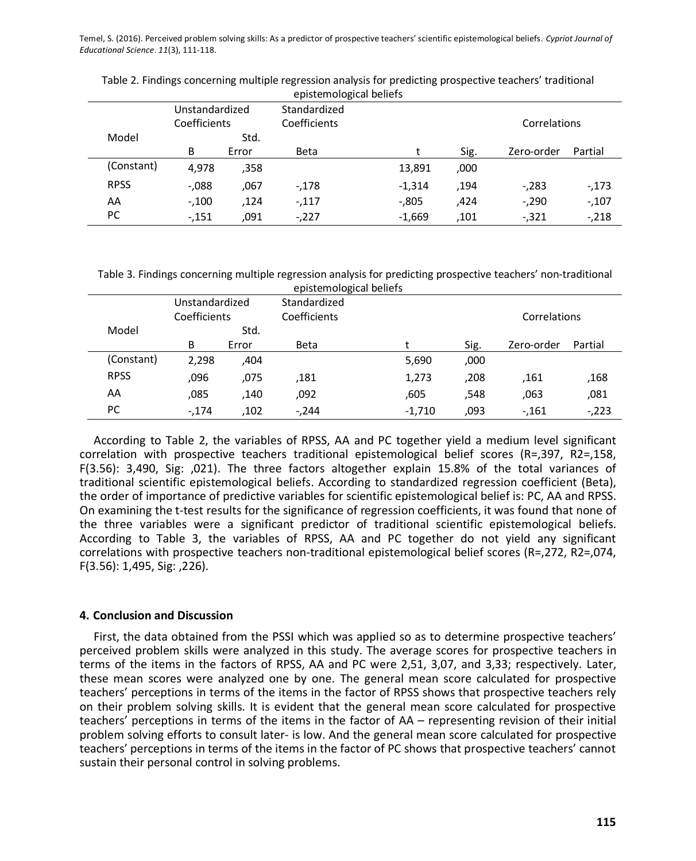|             | Unstandardized |       | epistemological beliefs<br>Standardized |          |      |              |         |
|-------------|----------------|-------|-----------------------------------------|----------|------|--------------|---------|
|             | Coefficients   |       | Coefficients                            |          |      | Correlations |         |
| Model       |                | Std.  |                                         |          |      |              |         |
|             | B              | Error | <b>Beta</b>                             |          | Sig. | Zero-order   | Partial |
| (Constant)  | 4.978          | ,358  |                                         | 13,891   | ,000 |              |         |
| <b>RPSS</b> | $-0.088$       | ,067  | $-178$                                  | $-1,314$ | .194 | $-283$       | -,173   |
| AA          | $-.100$        | .124  | $-.117$                                 | $-0.805$ | ,424 | $-.290$      | $-.107$ |
| PC.         | $-151$         | .091  | $-.227$                                 | $-1,669$ | .101 | $-0.321$     | $-218$  |

Table 2. Findings concerning multiple regression analysis for predicting prospective teachers' traditional  $k$ 

Table 3. Findings concerning multiple regression analysis for predicting prospective teachers' non-traditional

|             | Unstandardized |       | Standardized |          |      |              |         |
|-------------|----------------|-------|--------------|----------|------|--------------|---------|
|             | Coefficients   |       | Coefficients |          |      | Correlations |         |
| Model       |                | Std.  |              |          |      |              |         |
|             | B              | Error | <b>Beta</b>  |          | Sig. | Zero-order   | Partial |
| (Constant)  | 2,298          | ,404  |              | 5,690    | ,000 |              |         |
| <b>RPSS</b> | ,096           | ,075  | ,181         | 1,273    | ,208 | .161         | ,168    |
| AA          | ,085           | ,140  | ,092         | .605     | 548, | .063         | ,081    |
| PC.         | $-.174$        | .102  | $-244$       | $-1,710$ | ,093 | $-161$       | $-223$  |

According to Table 2, the variables of RPSS, AA and PC together yield a medium level significant correlation with prospective teachers traditional epistemological belief scores (R=,397, R2=,158, F(3.56): 3,490, Sig:  $,021$ ). The three factors altogether explain 15.8% of the total variances of traditional scientific epistemological beliefs. According to standardized regression coefficient (Beta), the order of importance of predictive variables for scientific epistemological belief is: PC, AA and RPSS. On examining the t-test results for the significance of regression coefficients, it was found that none of the three variables were a significant predictor of traditional scientific epistemological beliefs. According to Table 3, the variables of RPSS, AA and PC together do not vield any significant correlations with prospective teachers non-traditional epistemological belief scores (R=,272, R2=,074,  $F(3.56): 1,495,$  Sig: ,226).

# **4. Conclusion and Discussion**

First, the data obtained from the PSSI which was applied so as to determine prospective teachers' perceived problem skills were analyzed in this study. The average scores for prospective teachers in terms of the items in the factors of RPSS, AA and PC were 2,51, 3,07, and 3,33; respectively. Later, these mean scores were analyzed one by one. The general mean score calculated for prospective teachers' perceptions in terms of the items in the factor of RPSS shows that prospective teachers rely on their problem solving skills. It is evident that the general mean score calculated for prospective teachers' perceptions in terms of the items in the factor of  $AA$  – representing revision of their initial problem solving efforts to consult later- is low. And the general mean score calculated for prospective teachers' perceptions in terms of the items in the factor of PC shows that prospective teachers' cannot sustain their personal control in solving problems.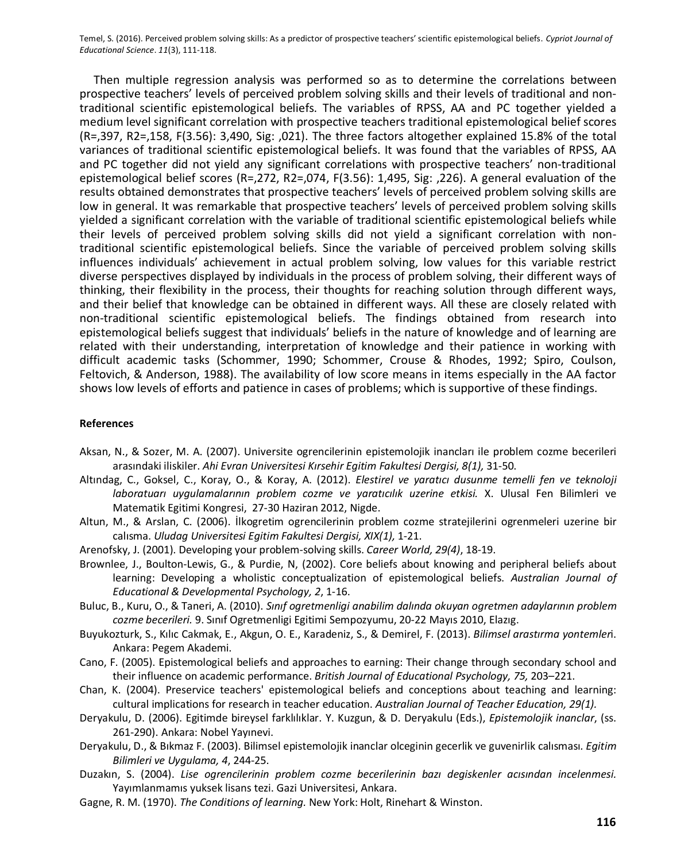Then multiple regression analysis was performed so as to determine the correlations between prospective teachers' levels of perceived problem solving skills and their levels of traditional and nontraditional scientific epistemological beliefs. The variables of RPSS, AA and PC together yielded a medium level significant correlation with prospective teachers traditional epistemological belief scores (R=,397, R2=,158, F(3.56): 3,490, Sig: ,021). The three factors altogether explained 15.8% of the total variances of traditional scientific epistemological beliefs. It was found that the variables of RPSS, AA and PC together did not yield any significant correlations with prospective teachers' non-traditional epistemological belief scores (R=,272, R2=,074, F(3.56): 1,495, Sig: ,226). A general evaluation of the results obtained demonstrates that prospective teachers' levels of perceived problem solving skills are low in general. It was remarkable that prospective teachers' levels of perceived problem solving skills yielded a significant correlation with the variable of traditional scientific epistemological beliefs while their levels of perceived problem solving skills did not yield a significant correlation with nontraditional scientific epistemological beliefs. Since the variable of perceived problem solving skills influences individuals' achievement in actual problem solving, low values for this variable restrict diverse perspectives displayed by individuals in the process of problem solving, their different ways of thinking, their flexibility in the process, their thoughts for reaching solution through different ways, and their belief that knowledge can be obtained in different ways. All these are closely related with non-traditional scientific epistemological beliefs. The findings obtained from research into epistemological beliefs suggest that individuals' beliefs in the nature of knowledge and of learning are related with their understanding, interpretation of knowledge and their patience in working with difficult academic tasks (Schommer, 1990; Schommer, Crouse & Rhodes, 1992; Spiro, Coulson, Feltovich, & Anderson, 1988). The availability of low score means in items especially in the AA factor shows low levels of efforts and patience in cases of problems; which is supportive of these findings.

#### **References**

- Aksan, N., & Sozer, M. A. (2007). Universite ogrencilerinin epistemolojik inancları ile problem cozme becerileri arasındaki iliskiler. Ahi Evran Universitesi Kırsehir Egitim Fakultesi Dergisi, 8(1), 31-50.
- Altındag, C., Goksel, C., Koray, O., & Koray, A. (2012). Elestirel ve yaratıcı dusunme temelli fen ve teknoloji laboratuarı uygulamalarının problem cozme ve yaratıcılık uzerine etkisi. X. Ulusal Fen Bilimleri ve Matematik Egitimi Kongresi, 27-30 Haziran 2012, Nigde.
- Altun, M., & Arslan, C. (2006). İlkogretim ogrencilerinin problem cozme stratejilerini ogrenmeleri uzerine bir calisma. Uludag Universitesi Egitim Fakultesi Dergisi, XIX(1), 1-21.
- Arenofsky, J. (2001). Developing your problem-solving skills. Career World, 29(4), 18-19.
- Brownlee, J., Boulton-Lewis, G., & Purdie, N, (2002). Core beliefs about knowing and peripheral beliefs about learning: Developing a wholistic conceptualization of epistemological beliefs. Australian Journal of Educational & Developmental Psychology, 2, 1-16.
- Buluc, B., Kuru, O., & Taneri, A. (2010). Sinif ogretmenligi anabilim dalında okuyan ogretmen adaylarının problem cozme becerileri. 9. Sinif Ogretmenligi Egitimi Sempozyumu, 20-22 Mayıs 2010, Elazig.
- Buyukozturk, S., Kılıc Cakmak, E., Akgun, O. E., Karadeniz, S., & Demirel, F. (2013). Bilimsel arastırma yontemleri. Ankara: Pegem Akademi.
- Cano, F. (2005). Epistemological beliefs and approaches to earning: Their change through secondary school and their influence on academic performance. British Journal of Educational Psychology, 75, 203-221.
- Chan, K. (2004). Preservice teachers' epistemological beliefs and conceptions about teaching and learning: cultural implications for research in teacher education. Australian Journal of Teacher Education, 29(1).
- Deryakulu, D. (2006). Egitimde bireysel farklılıklar. Y. Kuzgun, & D. Deryakulu (Eds.), Epistemolojik inanclar, (ss. 261-290). Ankara: Nobel Yayınevi.
- Deryakulu, D., & Bıkmaz F. (2003). Bilimsel epistemolojik inanclar olceginin gecerlik ve guvenirlik calısması. Egitim Bilimleri ve Uygulama, 4, 244-25.
- Duzakın, S. (2004). Lise ogrencilerinin problem cozme becerilerinin bazı degiskenler acısından incelenmesi. Yavımlanmamış vuksek lisans tezi. Gazi Universitesi, Ankara,
- Gagne, R. M. (1970). The Conditions of learning. New York: Holt, Rinehart & Winston.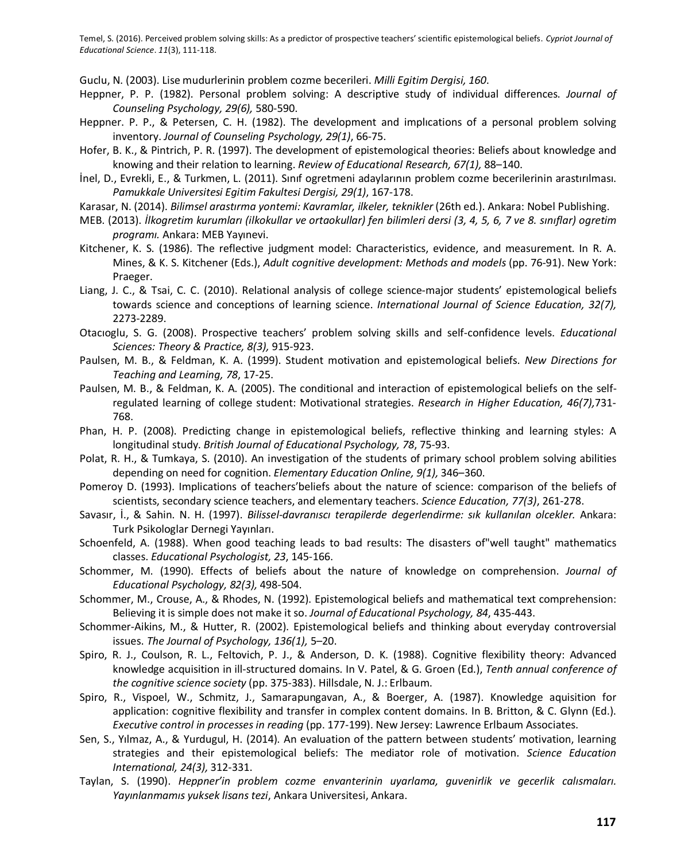Guclu, N. (2003). Lise mudurlerinin problem cozme becerileri. *Milli Egitim Dergisi, 160*.

- Heppner, P. P. (1982). Personal problem solving: A descriptive study of individual differences. *Journal of* Counseling Psychology, 29(6), 580-590.
- Heppner. P. P., & Petersen, C. H. (1982). The development and implications of a personal problem solving inventory. Journal of Counseling Psychology, 29(1), 66-75.
- Hofer, B. K., & Pintrich, P. R. (1997). The development of epistemological theories: Beliefs about knowledge and knowing and their relation to learning. Review of Educational Research, 67(1), 88-140.
- İnel, D., Evrekli, E., & Turkmen, L. (2011). Sinif ogretmeni adaylarının problem cozme becerilerinin arastırılması. Pamukkale Universitesi Egitim Fakultesi Dergisi, 29(1), 167-178.
- Karasar, N. (2014). Bilimsel arastırma yontemi: Kavramlar, ilkeler, teknikler (26th ed.). Ankara: Nobel Publishing.
- *MEB. (2013). İlkogretim kurumları (ilkokullar ve ortaokullar) fen bilimleri dersi (3, 4, 5, 6, 7 ve 8. sınıflar) ogretim* programı. Ankara: MEB Yayınevi.
- Kitchener, K. S. (1986). The reflective judgment model: Characteristics, evidence, and measurement. In R. A. Mines, & K. S. Kitchener (Eds.), *Adult cognitive development: Methods and models* (pp. 76-91). New York: Praeger.
- Liang, J. C., & Tsai, C. C. (2010). Relational analysis of college science-major students' epistemological beliefs towards science and conceptions of learning science. *International Journal of Science Education*, 32(7), 2273-2289.
- Otacioglu, S. G. (2008). Prospective teachers' problem solving skills and self-confidence levels. *Educational Sciences: Theory & Practice, 8(3), 915-923.*
- Paulsen, M. B., & Feldman, K. A. (1999). Student motivation and epistemological beliefs. New Directions for Teaching and Learning, 78, 17-25.
- Paulsen, M. B., & Feldman, K. A. (2005). The conditional and interaction of epistemological beliefs on the selfregulated learning of college student: Motivational strategies. Research in Higher Education, 46(7),731-768.
- Phan, H. P. (2008). Predicting change in epistemological beliefs, reflective thinking and learning styles: A longitudinal study. British Journal of Educational Psychology, 78, 75-93.
- Polat, R. H., & Tumkaya, S. (2010). An investigation of the students of primary school problem solving abilities depending on need for cognition. *Elementary Education Online*, 9(1), 346–360.
- Pomeroy D. (1993). Implications of teachers'beliefs about the nature of science: comparison of the beliefs of scientists, secondary science teachers, and elementary teachers. Science Education, 77(3), 261-278.
- Savasır, İ., & Sahin. N. H. (1997). Bilissel-davranıscı terapilerde degerlendirme: sık kullanılan olcekler. Ankara: Turk Psikologlar Dernegi Yayınları.
- Schoenfeld, A. (1988). When good teaching leads to bad results: The disasters of "well taught" mathematics classes. Educational Psychologist, 23, 145-166.
- Schommer, M. (1990). Effects of beliefs about the nature of knowledge on comprehension. Journal of *Educational Psychology, 82(3), 498-504.*
- Schommer, M., Crouse, A., & Rhodes, N. (1992). Epistemological beliefs and mathematical text comprehension: Believing it is simple does not make it so. Journal of Educational Psychology, 84, 435-443.
- Schommer-Aikins, M., & Hutter, R. (2002). Epistemological beliefs and thinking about everyday controversial issues. The Journal of Psychology, 136(1), 5-20.
- Spiro, R. J., Coulson, R. L., Feltovich, P. J., & Anderson, D. K. (1988). Cognitive flexibility theory: Advanced knowledge acquisition in ill-structured domains. In V. Patel, & G. Groen (Ed.), Tenth annual conference of *the cognitive science society* (pp. 375-383). Hillsdale, N. J.: Erlbaum.
- Spiro, R., Vispoel, W., Schmitz, J., Samarapungavan, A., & Boerger, A. (1987). Knowledge aquisition for application: cognitive flexibility and transfer in complex content domains. In B. Britton, & C. Glynn (Ed.). *Executive control in processes in reading* (pp. 177-199). New Jersey: Lawrence Erlbaum Associates.
- Sen, S., Yılmaz, A., & Yurdugul, H. (2014). An evaluation of the pattern between students' motivation, learning strategies and their epistemological beliefs: The mediator role of motivation. Science Education *International, 24(3), 312-331.*
- Taylan, S. (1990). Heppner'in problem cozme envanterinin uyarlama, quvenirlik ve gecerlik calısmaları. *Yayınlanmamıs yuksek lisans tezi, Ankara Universitesi, Ankara.*